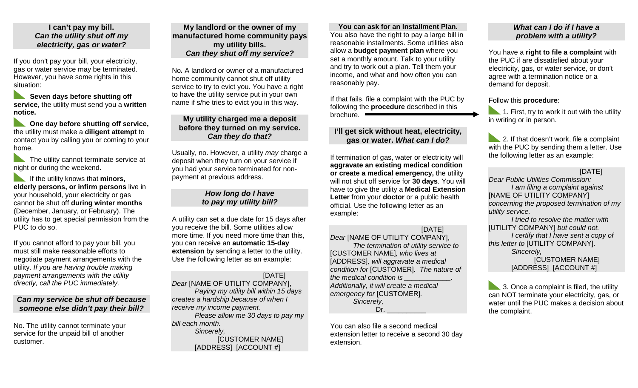## **I can't pay my bill.** *Can the utility shut off my electricity, gas or water?*

If you don't pay your bill, your electricity, gas or water service may be terminated. However, you have some rights in this situation:

 **Seven days before shutting off service**, the utility must send you a **written notice.**

**Cone day before shutting off service,** the utility must make a **diligent attempt** to contact you by calling you or coming to your home.

 The utility cannot terminate service at night or during the weekend.

 If the utility knows that **minors, elderly persons, or infirm persons** live in your household, your electricity or gas cannot be shut off **during winter months** (December, January, or February). The utility has to get special permission from the PUC to do so.

If you cannot afford to pay your bill, you must still make reasonable efforts to negotiate payment arrangements with the utility. *If you are having trouble making payment arrangements with the utility directly, call the PUC immediately.* 

## *Can my service be shut off because someone else didn't pay their bill?*

No. The utility cannot terminate your service for the unpaid bill of another customer.

**My landlord or the owner of my manufactured home community pays my utility bills.**  *Can they shut off my service?* 

No*.* A landlord or owner of a manufactured home community cannot shut off utility service to try to evict you. You have a right to have the utility service put in your own name if s/he tries to evict you in this way.

## **My utility charged me a deposit before they turned on my service.**  *Can they do that?*

Usually, no. However, a utility *may* charge a deposit when they turn on your service if you had your service terminated for nonpayment at previous address.

#### *How long do I have to pay my utility bill?*

A utility can set a due date for 15 days after you receive the bill. Some utilities allow more time. If you need more time than this, you can receive an **automatic 15-day extension** by sending a letter to the utility. Use the following letter as an example:

## [DATE]

*Dear* [NAME OF UTILITY COMPANY], *Paying my utility bill within 15 days creates a hardship because of when I receive my income payment. Please allow me 30 days to pay my bill each month. Sincerely,*  [CUSTOMER NAME] [ADDRESS] [ACCOUNT #]

**You can ask for an Installment Plan.**  You also have the right to pay a large bill in reasonable installments. Some utilities also allow a **budget payment plan** where you set a monthly amount. Talk to your utility and try to work out a plan. Tell them your income, and what and how often you can reasonably pay.

If that fails, file a complaint with the PUC by following the **procedure** described in this brochure.

# **I'll get sick without heat, electricity, gas or water.** *What can I do?*

If termination of gas, water or electricity will **aggravate an existing medical condition or create a medical emergency,** the utility will not shut off service for **30 days**. You will have to give the utility a **Medical Extension Letter** from your **doctor** or a public health official. Use the following letter as an example:

## [DATE]

*Dear* [NAME OF UTILITY COMPANY], *The termination of utility service to*  [CUSTOMER NAME]*, who lives at*  [ADDRESS]*, will aggravate a medical condition for* [CUSTOMER]*. The nature of the medical condition is \_\_\_\_\_\_\_\_\_\_\_\_. Additionally, it will create a medical emergency for* [CUSTOMER]*. Sincerely,*   $Dr_{-}$ 

You can also file a second medical extension letter to receive a second 30 day extension.

# *What can I do if I have a problem with a utility?*

You have a **right to file a complaint** with the PUC if are dissatisfied about your electricity, gas, or water service, or don't agree with a termination notice or a demand for deposit.

#### Follow this **procedure**:

 $\blacksquare$  1. First, try to work it out with the utility in writing or in person.

2. If that doesn't work, file a complaint with the PUC by sending them a letter. Use the following letter as an example:

## [DATE]

*Dear Public Utilities Commission: I am filing a complaint against*  [NAME OF UTILITY COMPANY] *concerning the proposed termination of my utility service.* 

*I tried to resolve the matter with*  [UTILITY COMPANY] *but could not. I certify that I have sent a copy of this letter to* [UTILITY COMPANY]. *Sincerely,*  **ICUSTOMER NAMEI** 

[ADDRESS] [ACCOUNT #]

3. Once a complaint is filed, the utility can NOT terminate your electricity, gas, or water until the PUC makes a decision about the complaint.